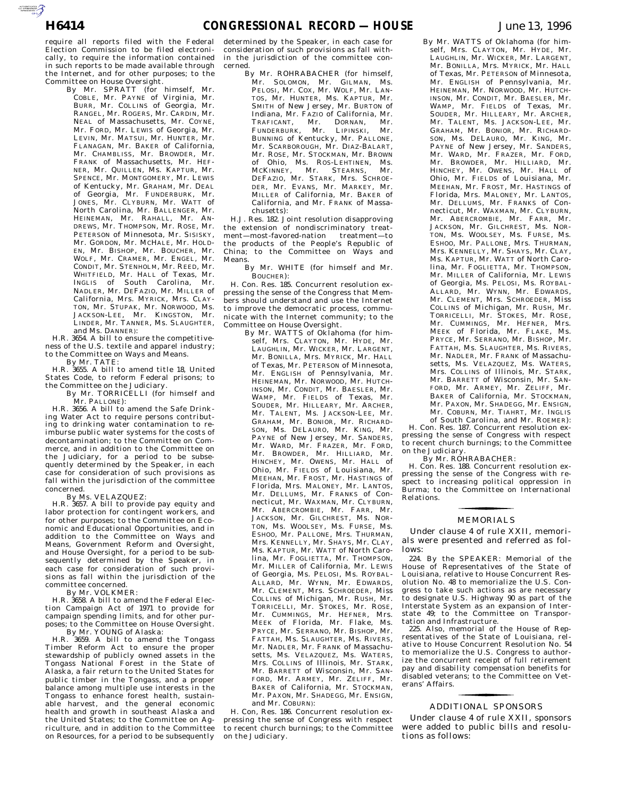$\sum_{\text{SUSMATION}}$ 

By Mr. SPRATT (for himself, Mr. COBLE, Mr. PAYNE of Virginia, Mr. BURR, Mr. COLLINS of Georgia, Mr. RANGEL, Mr. ROGERS, Mr. CARDIN, Mr. NEAL of Massachusetts, Mr. COYNE, Mr. FORD, Mr. LEWIS of Georgia, Mr. LEVIN, Mr. MATSUI, Mr. HUNTER, Mr. FLANAGAN, Mr. BAKER of California, Mr. CHAMBLISS, Mr. BROWDER, Mr. FRANK of Massachusetts, Mr. HEF-NER, Mr. QUILLEN, Ms. KAPTUR, Mr. SPENCE, Mr. MONTGOMERY, Mr. LEWIS of Kentucky, Mr. GRAHAM, Mr. DEAL of Georgia, Mr. FUNDERBURK, Mr. JONES, Mr. CLYBURN, Mr. WATT of North Carolina, Mr. BALLENGER, Mr. HEINEMAN, Mr. RAHALL, Mr. AN-DREWS, Mr. THOMPSON, Mr. ROSE, Mr. PETERSON of Minnesota, Mr. SISISKY, Mr. GORDON, Mr. MCHALE, Mr. HOLD-EN, Mr. BISHOP, Mr. BOUCHER, Mr. WOLF, Mr. CRAMER, Mr. ENGEL, Mr. CONDIT, Mr. STENHOLM, Mr. REED, Mr. WHITFIELD, Mr. HALL of Texas, Mr. INGLIS of South Carolina, Mr. NADLER, Mr. DEFAZIO, Mr. MILLER of California, Mrs. MYRICK, Mrs. CLAY-TON, Mr. STUPAK, Mr. NORWOOD, Ms. JACKSON-LEE, Mr. KINGSTON, Mr. LINDER, Mr. TANNER, Ms. SLAUGHTER, and Ms. DANNER):

H.R. 3654. A bill to ensure the competitiveness of the U.S. textile and apparel industry; to the Committee on Ways and Means.

By Mr. TATE: H.R. 3655. A bill to amend title 18, United States Code, to reform Federal prisons; to the Committee on the Judiciary.

By Mr. TORRICELLI (for himself and Mr. PALLONE):

H.R. 3656. A bill to amend the Safe Drinking Water Act to require persons contributing to drinking water contamination to reimburse public water systems for the costs of decontamination; to the Committee on Commerce, and in addition to the Committee on the Judiciary, for a period to be subsequently determined by the Speaker, in each case for consideration of such provisions as fall within the jurisdiction of the committee concerned.

By Ms. VELAZQUEZ:

H.R. 3657. A bill to provide pay equity and labor protection for contingent workers, and for other purposes; to the Committee on Economic and Educational Opportunities, and in addition to the Committee on Ways and Means, Government Reform and Oversight, and House Oversight, for a period to be subsequently determined by the Speaker, in each case for consideration of such provisions as fall within the jurisdiction of the committee concerned.

By Mr. VOLKMER:

H.R. 3658. A bill to amend the Federal Election Campaign Act of 1971 to provide for campaign spending limits, and for other purposes; to the Committee on House Oversight. By Mr. YOUNG of Alaska:

H.R. 3659. A bill to amend the Tongass Timber Reform Act to ensure the proper stewardship of publicly owned assets in the Tongass National Forest in the State of Alaska, a fair return to the United States for public timber in the Tongass, and a proper balance among multiple use interests in the Tongass to enhance forest health, sustainable harvest, and the general economic health and growth in southeast Alaska and the United States; to the Committee on Agriculture, and in addition to the Committee on Resources, for a period to be subsequently

determined by the Speaker, in each case for consideration of such provisions as fall within the jurisdiction of the committee concerned.

By Mr. ROHRABACHER (for himself, Mr. SOLOMON, Mr. GILMAN, Ms. PELOSI, Mr. COX, Mr. WOLF, Mr. LAN-TOS, Mr. HUNTER, Ms. KAPTUR, Mr. SMITH of New Jersey, Mr. BURTON of Indiana, Mr. FAZIO of California, Mr.<br>TRAFICANT. Mr. DORNAN. Mr. TRAFICANT, Mr. DORNAN, Mr. FUNDERBURK, Mr. LIPINSKI, Mr. BUNNING of Kentucky, Mr. PALLONE, Mr. SCARBOROUGH, Mr. DIAZ-BALART, Mr. ROSE, Mr. STOCKMAN, Mr. BROWN of Ohio, Ms. ROS-LEHTINEN, Ms. MCKINNEY, Mr. STEARNS, Mr. DEFAZIO, Mr. STARK, Mrs. SCHROE-DER, Mr. EVANS, Mr. MARKEY, Mr. MILLER of California, Mr. BAKER of California, and Mr. FRANK of Massachusetts):

H.J. Res. 182. Joint resolution disapproving the extension of nondiscriminatory treatment—most-favored-nation treatment—to the products of the People's Republic of China; to the Committee on Ways and Means.

By Mr. WHITE (for himself and Mr. BOUCHER):

H. Con. Res. 185. Concurrent resolution expressing the sense of the Congress that Members should understand and use the Internet to improve the democratic process, communicate with the Internet community; to the Committee on House Oversight.

By Mr. WATTS of Oklahoma (for himself, Mrs. CLAYTON, Mr. HYDE, Mr. LAUGHLIN, Mr. WICKER, Mr. LARGENT, Mr. BONILLA, Mrs. MYRICK, Mr. HALL of Texas, Mr. PETERSON of Minnesota, Mr. ENGLISH of Pennsylvania, Mr. HEINEMAN, Mr. NORWOOD, Mr. HUTCH-INSON, Mr. CONDIT, Mr. BAESLER, Mr. WAMP, Mr. FIELDS of Texas, Mr. SOUDER, Mr. HILLEARY, Mr. ARCHER, Mr. TALENT, Ms. JACKSON-LEE, Mr. GRAHAM, Mr. BONIOR, Mr. RICHARD-SON, Ms. DELAURO, Mr. KING, Mr. PAYNE of New Jersey, Mr. SANDERS, Mr. WARD, Mr. FRAZER, Mr. FORD, Mr. BROWDER, Mr. HILLIARD, Mr. HINCHEY, Mr. OWENS, Mr. HALL of Ohio, Mr. FIELDS of Louisiana, Mr. MEEHAN, Mr. FROST, Mr. HASTINGS of Florida, Mrs. MALONEY, Mr. LANTOS, Mr. DELLUMS, Mr. FRANKS of Connecticut, Mr. WAXMAN, Mr. CLYBURN, Mr. ABERCROMBIE, Mr. FARR, Mr. JACKSON, Mr. GILCHREST, Ms. NOR-TON, Ms. WOOLSEY, Ms. FURSE, Ms. ESHOO, Mr. PALLONE, Mrs. THURMAN, Mrs. KENNELLY, Mr. SHAYS, Mr. CLAY, Ms. KAPTUR, Mr. WATT of North Carolina, Mr. FOGLIETTA, Mr. THOMPSON, Mr. MILLER of California, Mr. LEWIS of Georgia, Ms. PELOSI, Ms. ROYBAL-ALLARD, Mr. WYNN, Mr. EDWARDS, Mr. CLEMENT, Mrs. SCHROEDER, Miss. COLLINS of Michigan, Mr. RUSH, Mr. TORRICELLI, Mr. STOKES, Mr. ROSE, Mr. CUMMINGS, Mr. HEFNER, Mrs. MEEK of Florida, Mr. Flake, Ms. PRYCE, Mr. SERRANO, Mr. BISHOP, Mr. FATTAH, Ms. SLAUGHTER, Ms. RIVERS, Mr. NADLER, Mr. FRANK of Massachusetts, Ms. VELAZQUEZ, Ms. WATERS, Mrs. COLLINS of Illinois, Mr. STARK, Mr. BARRETT of Wisconsin, Mr. SAN-FORD, Mr. ARMEY, Mr. ZELIFF, Mr. BAKER of California, Mr. STOCKMAN, Mr. PAXON, Mr. SHADEGG, Mr. ENSIGN, and Mr. COBURN):

H. Con, Res. 186. Concurrent resolution expressing the sense of Congress with respect to recent church burnings; to the Committee on the Judiciary.

By Mr. WATTS of Oklahoma (for himself, Mrs. CLAYTON, Mr. HYDE, Mr. LAUGHLIN, Mr. WICKER, Mr. LARGENT, Mr. BONILLA, Mrs. MYRICK, Mr. HALL of Texas, Mr. PETERSON of Minnesota, Mr. ENGLISH of Pennsylvania, Mr. HEINEMAN, Mr. NORWOOD, Mr. HUTCH-INSON, Mr. CONDIT, Mr. BAESLER, Mr. WAMP, Mr. FIELDS of Texas, Mr. SOUDER, Mr. HILLEARY, Mr. ARCHER, Mr. TALENT, Ms. JACKSON-LEE, Mr. GRAHAM, Mr. BONIOR, Mr. RICHARD-SON, Ms. DELAURO, Mr. KING, Mr. PAYNE of New Jersey, Mr. SANDERS, Mr. WARD, Mr. FRAZER, Mr. FORD, Mr. BROWDER, Mr. HILLIARD, Mr. HINCHEY, Mr. OWENS, Mr. HALL of Ohio, Mr. FIELDS of Louisiana, Mr. MEEHAN, Mr. FROST, Mr. HASTINGS of Florida, Mrs. MALONEY, Mr. LANTOS, Mr. DELLUMS, Mr. FRANKS of Connecticut, Mr. WAXMAN, Mr. CLYBURN, Mr. ABERCROMBIE, Mr. FARR, Mr. JACKSON, Mr. GILCHREST, Ms. NOR-TON, Ms. WOOLSEY, Ms. FURSE, Ms. ESHOO, Mr. PALLONE, Mrs. THURMAN, Mrs. KENNELLY, Mr. SHAYS, Mr. CLAY, Ms. KAPTUR, Mr. WATT of North Carolina, Mr. FOGLIETTA, Mr. THOMPSON, Mr. MILLER of California, Mr. LEWIS of Georgia, Ms. PELOSI, Ms. ROYBAL-ALLARD, Mr. WYNN, Mr. EDWARDS, Mr. CLEMENT, Mrs. SCHROEDER, Miss COLLINS of Michigan, Mr. RUSH, Mr. TORRICELLI, Mr. STOKES, Mr. ROSE, Mr. CUMMINGS, Mr. HEFNER, Mrs. MEEK of Florida, Mr. FLAKE, Ms. PRYCE, Mr. SERRANO, Mr. BISHOP, Mr. FATTAH, Ms. SLAUGHTER, Ms. RIVERS, Mr. NADLER, Mr. FRANK of Massachusetts, Ms. VELAZQUEZ, Ms. WATERS, Mrs. COLLINS of Illinois, Mr. STARK, Mr. BARRETT of Wisconsin, Mr. SAN-FORD, Mr. ARMEY, Mr. ZELIFF, Mr. BAKER of California, Mr. STOCKMAN, Mr. PAXON, Mr. SHADEGG, Mr. ENSIGN, Mr. COBURN, Mr. TIAHRT, Mr. INGLIS

of South Carolina, and Mr. ROEMER): H. Con. Res. 187. Concurrent resolution expressing the sense of Congress with respect to recent church burnings; to the Committee on the Judiciary.

By Mr. ROHRABACHER:

H. Con. Res. 188. Concurrent resolution expressing the sense of the Congress with respect to increasing political oppression in Burma; to the Committee on International Relations.

## MEMORIALS for the contract of the contract of

Under clause 4 of rule XXII, memorials were presented and referred as follows:

224. By the SPEAKER: Memorial of the House of Representatives of the State of Louisiana, relative to House Concurrent Resolution No. 48 to memorialize the U.S. Congress to take such actions as are necessary to designate U.S. Highway 90 as part of the Interstate System as an expansion of Interstate 49; to the Committee on Transportation and Infrastructure.

225. Also, memorial of the House of Representatives of the State of Louisiana, relative to House Concurrent Resolution No. 54 to memorialize the U.S. Congress to authorize the concurrent receipt of full retirement pay and disability compensation benefits for disabled veterans; to the Committee on Veterans' Affairs.

## ADDITIONAL SPONSORS for the control of the control of

Under clause 4 of rule XXII, sponsors were added to public bills and resolutions as follows: